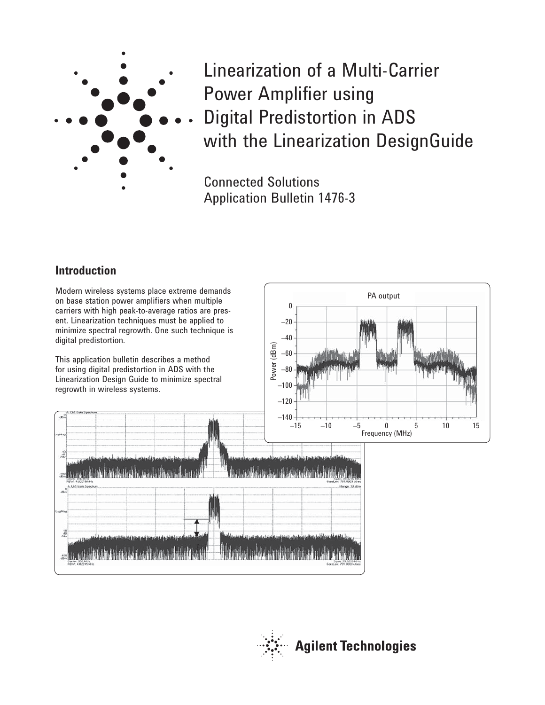

Linearization of a Multi-Carrier Power Amplifier using Digital Predistortion in ADS with the Linearization DesignGuide

Connected Solutions Application Bulletin 1476-3

# **Introduction**

Modern wireless systems place extreme demands on base station power amplifiers when multiple carriers with high peak-to-average ratios are present. Linearization techniques must be applied to minimize spectral regrowth. One such technique is digital predistortion.

This application bulletin describes a method for using digital predistortion in ADS with the Linearization Design Guide to minimize spectral regrowth in wireless systems.



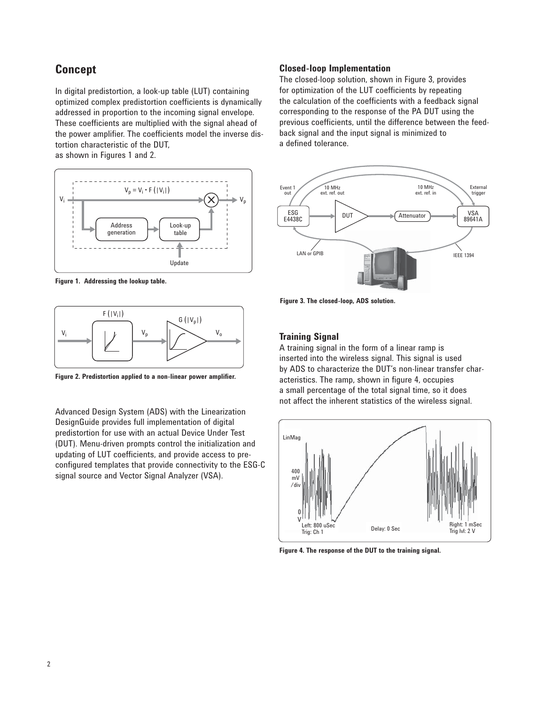# **Concept**

In digital predistortion, a look-up table (LUT) containing optimized complex predistortion coefficients is dynamically addressed in proportion to the incoming signal envelope. These coefficients are multiplied with the signal ahead of the power amplifier. The coefficients model the inverse distortion characteristic of the DUT, as shown in Figures 1 and 2.



**Figure 1. Addressing the lookup table.** 



**Figure 2. Predistortion applied to a non-linear power amplifier.**

Advanced Design System (ADS) with the Linearization DesignGuide provides full implementation of digital predistortion for use with an actual Device Under Test (DUT). Menu-driven prompts control the initialization and updating of LUT coefficients, and provide access to preconfigured templates that provide connectivity to the ESG-C signal source and Vector Signal Analyzer (VSA).

#### **Closed-loop Implementation**

The closed-loop solution, shown in Figure 3, provides for optimization of the LUT coefficients by repeating the calculation of the coefficients with a feedback signal corresponding to the response of the PA DUT using the previous coefficients, until the difference between the feedback signal and the input signal is minimized to a defined tolerance.



**Figure 3. The closed-loop, ADS solution.**

## **Training Signal**

A training signal in the form of a linear ramp is inserted into the wireless signal. This signal is used by ADS to characterize the DUT's non-linear transfer characteristics. The ramp, shown in figure 4, occupies a small percentage of the total signal time, so it does not affect the inherent statistics of the wireless signal.



**Figure 4. The response of the DUT to the training signal.**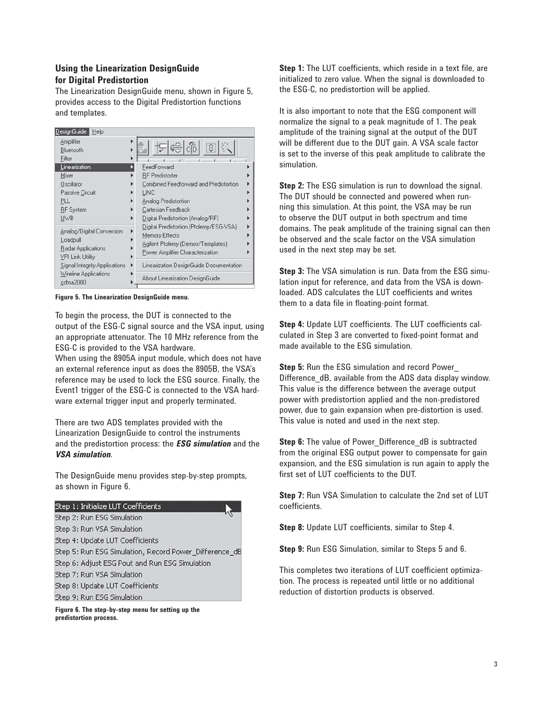## **Using the Linearization DesignGuide for Digital Predistortion**

The Linearization DesignGuide menu, shown in Figure 5, provides access to the Digital Predistortion functions and templates.



**Figure 5. The Linearization DesignGuide menu.** 

To begin the process, the DUT is connected to the output of the ESG-C signal source and the VSA input, using an appropriate attenuator. The 10 MHz reference from the ESG-C is provided to the VSA hardware.

When using the 8905A input module, which does not have an external reference input as does the 8905B, the VSA's reference may be used to lock the ESG source. Finally, the Event1 trigger of the ESG-C is connected to the VSA hardware external trigger input and properly terminated.

There are two ADS templates provided with the Linearization DesignGuide to control the instruments and the predistortion process: the *ESG simulation* and the *VSA simulation*.

The DesignGuide menu provides step-by-step prompts, as shown in Figure 6.

#### Step 1: Initialize LUT Coefficients

Step 2: Run ESG Simulation Step 3: Run VSA Simulation Step 4: Update LUT Coefficients Step 5: Run ESG Simulation, Record Power\_Difference\_dB Step 6: Adjust ESG Pout and Run ESG Simulation Step 7: Run VSA Simulation Step 8: Update LUT Coefficients Step 9: Run ESG Simulation

**Figure 6. The step-by-step menu for setting up the predistortion process.**

**Step 1:** The LUT coefficients, which reside in a text file, are initialized to zero value. When the signal is downloaded to the ESG-C, no predistortion will be applied.

It is also important to note that the ESG component will normalize the signal to a peak magnitude of 1. The peak amplitude of the training signal at the output of the DUT will be different due to the DUT gain. A VSA scale factor is set to the inverse of this peak amplitude to calibrate the simulation.

**Step 2:** The ESG simulation is run to download the signal. The DUT should be connected and powered when running this simulation. At this point, the VSA may be run to observe the DUT output in both spectrum and time domains. The peak amplitude of the training signal can then be observed and the scale factor on the VSA simulation used in the next step may be set.

**Step 3:** The VSA simulation is run. Data from the ESG simulation input for reference, and data from the VSA is downloaded. ADS calculates the LUT coefficients and writes them to a data file in floating-point format.

**Step 4:** Update LUT coefficients. The LUT coefficients calculated in Step 3 are converted to fixed-point format and made available to the ESG simulation.

**Step 5:** Run the ESG simulation and record Power\_ Difference dB, available from the ADS data display window. This value is the difference between the average output power with predistortion applied and the non-predistored power, due to gain expansion when pre-distortion is used. This value is noted and used in the next step.

**Step 6:** The value of Power Difference dB is subtracted from the original ESG output power to compensate for gain expansion, and the ESG simulation is run again to apply the first set of LUT coefficients to the DUT.

**Step 7:** Run VSA Simulation to calculate the 2nd set of LUT coefficients.

**Step 8:** Update LUT coefficients, similar to Step 4.

**Step 9:** Run ESG Simulation, similar to Steps 5 and 6.

This completes two iterations of LUT coefficient optimization. The process is repeated until little or no additional reduction of distortion products is observed.